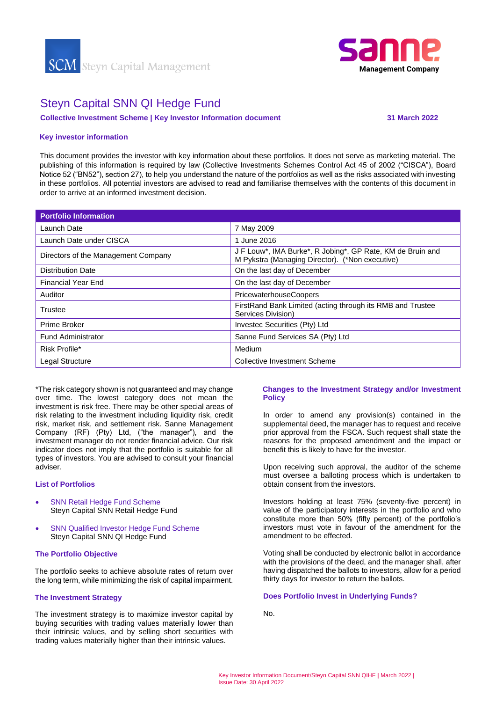



# Steyn Capital SNN QI Hedge Fund

**Collective Investment Scheme | Key Investor Information document 31 March 2022**

# **Key investor information**

This document provides the investor with key information about these portfolios. It does not serve as marketing material. The publishing of this information is required by law (Collective Investments Schemes Control Act 45 of 2002 ("CISCA"), Board Notice 52 ("BN52"), section 27), to help you understand the nature of the portfolios as well as the risks associated with investing in these portfolios. All potential investors are advised to read and familiarise themselves with the contents of this document in order to arrive at an informed investment decision.

| <b>Portfolio Information</b>        |                                                                                                               |
|-------------------------------------|---------------------------------------------------------------------------------------------------------------|
| Launch Date                         | 7 May 2009                                                                                                    |
| Launch Date under CISCA             | 1 June 2016                                                                                                   |
| Directors of the Management Company | J F Louw*, IMA Burke*, R Jobing*, GP Rate, KM de Bruin and<br>M Pykstra (Managing Director). (*Non executive) |
| <b>Distribution Date</b>            | On the last day of December                                                                                   |
| <b>Financial Year End</b>           | On the last day of December                                                                                   |
| Auditor                             | <b>PricewaterhouseCoopers</b>                                                                                 |
| Trustee                             | FirstRand Bank Limited (acting through its RMB and Trustee<br>Services Division)                              |
| Prime Broker                        | Investec Securities (Pty) Ltd                                                                                 |
| <b>Fund Administrator</b>           | Sanne Fund Services SA (Pty) Ltd                                                                              |
| Risk Profile*                       | Medium                                                                                                        |
| Legal Structure                     | <b>Collective Investment Scheme</b>                                                                           |

\*The risk category shown is not guaranteed and may change over time. The lowest category does not mean the investment is risk free. There may be other special areas of risk relating to the investment including liquidity risk, credit risk, market risk, and settlement risk. Sanne Management Company (RF) (Pty) Ltd, ("the manager"), and the investment manager do not render financial advice. Our risk indicator does not imply that the portfolio is suitable for all types of investors. You are advised to consult your financial adviser.

# **List of Portfolios**

- SNN Retail Hedge Fund Scheme Steyn Capital SNN Retail Hedge Fund
- **SNN Qualified Investor Hedge Fund Scheme** Steyn Capital SNN QI Hedge Fund

#### **The Portfolio Objective**

The portfolio seeks to achieve absolute rates of return over the long term, while minimizing the risk of capital impairment.

# **The Investment Strategy**

The investment strategy is to maximize investor capital by buying securities with trading values materially lower than their intrinsic values, and by selling short securities with trading values materially higher than their intrinsic values.

# **Changes to the Investment Strategy and/or Investment Policy**

In order to amend any provision(s) contained in the supplemental deed, the manager has to request and receive prior approval from the FSCA. Such request shall state the reasons for the proposed amendment and the impact or benefit this is likely to have for the investor.

Upon receiving such approval, the auditor of the scheme must oversee a balloting process which is undertaken to obtain consent from the investors.

Investors holding at least 75% (seventy-five percent) in value of the participatory interests in the portfolio and who constitute more than 50% (fifty percent) of the portfolio's investors must vote in favour of the amendment for the amendment to be effected.

Voting shall be conducted by electronic ballot in accordance with the provisions of the deed, and the manager shall, after having dispatched the ballots to investors, allow for a period thirty days for investor to return the ballots.

# **Does Portfolio Invest in Underlying Funds?**

No.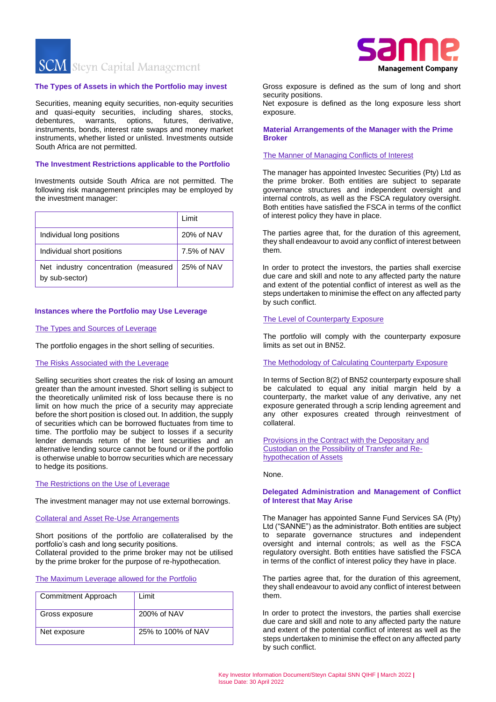**SCM** Steyn Capital Management

#### **The Types of Assets in which the Portfolio may invest**

Securities, meaning equity securities, non-equity securities and quasi-equity securities, including shares, stocks, debentures, warrants, options, futures, derivative, instruments, bonds, interest rate swaps and money market instruments, whether listed or unlisted. Investments outside South Africa are not permitted.

## **The Investment Restrictions applicable to the Portfolio**

Investments outside South Africa are not permitted. The following risk management principles may be employed by the investment manager:

|                                                        | Limit       |
|--------------------------------------------------------|-------------|
| Individual long positions                              | 20% of NAV  |
| Individual short positions                             | 7.5% of NAV |
| Net industry concentration (measured<br>by sub-sector) | 25% of NAV  |

# **Instances where the Portfolio may Use Leverage**

#### The Types and Sources of Leverage

The portfolio engages in the short selling of securities.

# The Risks Associated with the Leverage

Selling securities short creates the risk of losing an amount greater than the amount invested. Short selling is subject to the theoretically unlimited risk of loss because there is no limit on how much the price of a security may appreciate before the short position is closed out. In addition, the supply of securities which can be borrowed fluctuates from time to time. The portfolio may be subject to losses if a security lender demands return of the lent securities and an alternative lending source cannot be found or if the portfolio is otherwise unable to borrow securities which are necessary to hedge its positions.

#### The Restrictions on the Use of Leverage

The investment manager may not use external borrowings.

# Collateral and Asset Re-Use Arrangements

Short positions of the portfolio are collateralised by the portfolio's cash and long security positions. Collateral provided to the prime broker may not be utilised

by the prime broker for the purpose of re-hypothecation.

# The Maximum Leverage allowed for the Portfolio

| Commitment Approach | Limit              |
|---------------------|--------------------|
| Gross exposure      | 200% of NAV        |
| Net exposure        | 25% to 100% of NAV |



Gross exposure is defined as the sum of long and short security positions.

Net exposure is defined as the long exposure less short exposure.

# **Material Arrangements of the Manager with the Prime Broker**

# The Manner of Managing Conflicts of Interest

The manager has appointed Investec Securities (Pty) Ltd as the prime broker. Both entities are subject to separate governance structures and independent oversight and internal controls, as well as the FSCA regulatory oversight. Both entities have satisfied the FSCA in terms of the conflict of interest policy they have in place.

The parties agree that, for the duration of this agreement, they shall endeavour to avoid any conflict of interest between them.

In order to protect the investors, the parties shall exercise due care and skill and note to any affected party the nature and extent of the potential conflict of interest as well as the steps undertaken to minimise the effect on any affected party by such conflict.

# The Level of Counterparty Exposure

The portfolio will comply with the counterparty exposure limits as set out in BN52.

#### The Methodology of Calculating Counterparty Exposure

In terms of Section 8(2) of BN52 counterparty exposure shall be calculated to equal any initial margin held by a counterparty, the market value of any derivative, any net exposure generated through a scrip lending agreement and any other exposures created through reinvestment of collateral.

Provisions in the Contract with the Depositary and Custodian on the Possibility of Transfer and Rehypothecation of Assets

None.

#### **Delegated Administration and Management of Conflict of Interest that May Arise**

The Manager has appointed Sanne Fund Services SA (Pty) Ltd ("SANNE") as the administrator. Both entities are subject to separate governance structures and independent oversight and internal controls; as well as the FSCA regulatory oversight. Both entities have satisfied the FSCA in terms of the conflict of interest policy they have in place.

The parties agree that, for the duration of this agreement, they shall endeavour to avoid any conflict of interest between them.

In order to protect the investors, the parties shall exercise due care and skill and note to any affected party the nature and extent of the potential conflict of interest as well as the steps undertaken to minimise the effect on any affected party by such conflict.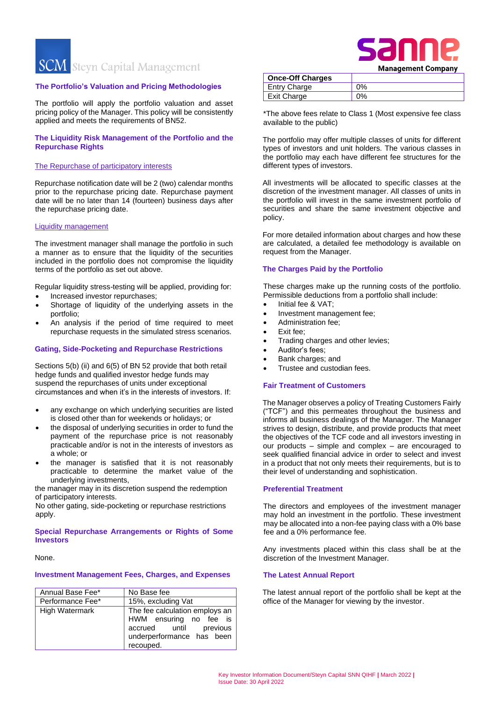**SCM** Steyn Capital Management

#### **The Portfolio's Valuation and Pricing Methodologies**

The portfolio will apply the portfolio valuation and asset pricing policy of the Manager. This policy will be consistently applied and meets the requirements of BN52.

# **The Liquidity Risk Management of the Portfolio and the Repurchase Rights**

#### The Repurchase of participatory interests

Repurchase notification date will be 2 (two) calendar months prior to the repurchase pricing date. Repurchase payment date will be no later than 14 (fourteen) business days after the repurchase pricing date.

#### Liquidity management

The investment manager shall manage the portfolio in such a manner as to ensure that the liquidity of the securities included in the portfolio does not compromise the liquidity terms of the portfolio as set out above.

Regular liquidity stress-testing will be applied, providing for:

- Increased investor repurchases;
- Shortage of liquidity of the underlying assets in the portfolio;
- An analysis if the period of time required to meet repurchase requests in the simulated stress scenarios.

#### **Gating, Side-Pocketing and Repurchase Restrictions**

Sections 5(b) (ii) and 6(5) of BN 52 provide that both retail hedge funds and qualified investor hedge funds may suspend the repurchases of units under exceptional circumstances and when it's in the interests of investors. If:

- any exchange on which underlying securities are listed is closed other than for weekends or holidays; or
- the disposal of underlying securities in order to fund the payment of the repurchase price is not reasonably practicable and/or is not in the interests of investors as a whole; or
- the manager is satisfied that it is not reasonably practicable to determine the market value of the underlying investments,

the manager may in its discretion suspend the redemption of participatory interests.

No other gating, side-pocketing or repurchase restrictions apply.

#### **Special Repurchase Arrangements or Rights of Some Investors**

#### None.

#### **Investment Management Fees, Charges, and Expenses**

| Annual Base Fee*      | No Base fee                                                                                                                  |  |
|-----------------------|------------------------------------------------------------------------------------------------------------------------------|--|
| Performance Fee*      | 15%, excluding Vat                                                                                                           |  |
| <b>High Watermark</b> | The fee calculation employs an<br>HWM ensuring no fee is<br>accrued until previous<br>underperformance has been<br>recouped. |  |

|                         | <b>Management Company</b> |
|-------------------------|---------------------------|
| <b>Once-Off Charges</b> |                           |
| Entry Charge            | 0%                        |
| Exit Charge             | $0\%$                     |

\*The above fees relate to Class 1 (Most expensive fee class available to the public)

The portfolio may offer multiple classes of units for different types of investors and unit holders. The various classes in the portfolio may each have different fee structures for the different types of investors.

All investments will be allocated to specific classes at the discretion of the investment manager. All classes of units in the portfolio will invest in the same investment portfolio of securities and share the same investment objective and policy.

For more detailed information about charges and how these are calculated, a detailed fee methodology is available on request from the Manager.

## **The Charges Paid by the Portfolio**

These charges make up the running costs of the portfolio. Permissible deductions from a portfolio shall include:

- Initial fee & VAT;
- Investment management fee;
- Administration fee;
- Exit fee;
- Trading charges and other levies;
- Auditor's fees;
- Bank charges; and
- Trustee and custodian fees.

#### **Fair Treatment of Customers**

The Manager observes a policy of Treating Customers Fairly ("TCF") and this permeates throughout the business and informs all business dealings of the Manager. The Manager strives to design, distribute, and provide products that meet the objectives of the TCF code and all investors investing in our products – simple and complex – are encouraged to seek qualified financial advice in order to select and invest in a product that not only meets their requirements, but is to their level of understanding and sophistication.

## **Preferential Treatment**

The directors and employees of the investment manager may hold an investment in the portfolio. These investment may be allocated into a non-fee paying class with a 0% base fee and a 0% performance fee.

Any investments placed within this class shall be at the discretion of the Investment Manager.

#### **The Latest Annual Report**

The latest annual report of the portfolio shall be kept at the office of the Manager for viewing by the investor.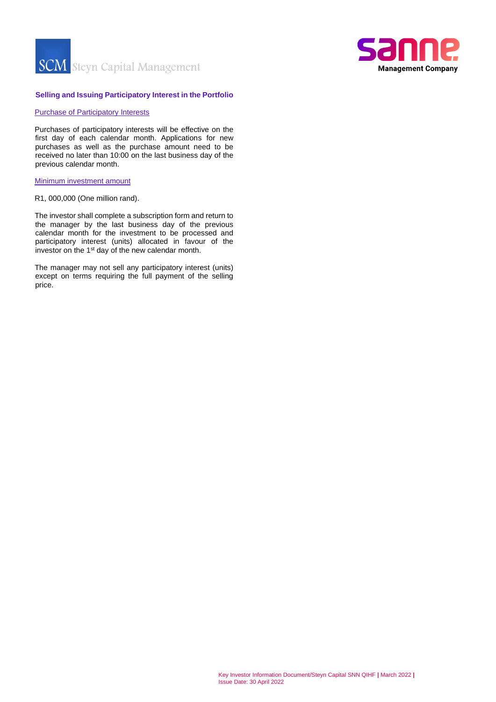



# **Selling and Issuing Participatory Interest in the Portfolio**

#### Purchase of Participatory Interests

Purchases of participatory interests will be effective on the first day of each calendar month. Applications for new purchases as well as the purchase amount need to be received no later than 10:00 on the last business day of the previous calendar month.

## Minimum investment amount

R1, 000,000 (One million rand).

The investor shall complete a subscription form and return to the manager by the last business day of the previous calendar month for the investment to be processed and participatory interest (units) allocated in favour of the investor on the 1st day of the new calendar month.

The manager may not sell any participatory interest (units) except on terms requiring the full payment of the selling price.